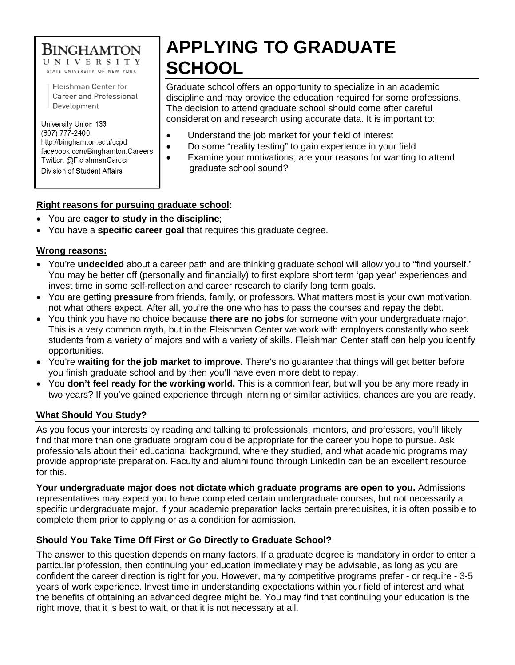# **BINGHAMTON**

UNIVERSITY STATE UNIVERSITY OF NEW YORK

Fleishman Center for Career and Professional Development

University Union 133 (607) 777-2400 http://binghamton.edu/ccpd facebook.com/Binghamton.Careers Twitter: @FleishmanCareer Division of Student Affairs

# **APPLYING TO GRADUATE SCHOOL**

Graduate school offers an opportunity to specialize in an academic discipline and may provide the education required for some professions. The decision to attend graduate school should come after careful consideration and research using accurate data. It is important to:

- Understand the job market for your field of interest
- Do some "reality testing" to gain experience in your field
	- Examine your motivations; are your reasons for wanting to attend graduate school sound?

# **Right reasons for pursuing graduate school:**

- You are **eager to study in the discipline**;
- You have a **specific career goal** that requires this graduate degree.

# **Wrong reasons:**

- You're **undecided** about a career path and are thinking graduate school will allow you to "find yourself." You may be better off (personally and financially) to first explore short term 'gap year' experiences and invest time in some self-reflection and career research to clarify long term goals.
- You are getting **pressure** from friends, family, or professors. What matters most is your own motivation, not what others expect. After all, you're the one who has to pass the courses and repay the debt.
- You think you have no choice because **there are no jobs** for someone with your undergraduate major. This is a very common myth, but in the Fleishman Center we work with employers constantly who seek students from a variety of majors and with a variety of skills. Fleishman Center staff can help you identify opportunities.
- You're **waiting for the job market to improve.** There's no guarantee that things will get better before you finish graduate school and by then you'll have even more debt to repay.
- You **don't feel ready for the working world.** This is a common fear, but will you be any more ready in two years? If you've gained experience through interning or similar activities, chances are you are ready.

# **What Should You Study?**

As you focus your interests by reading and talking to professionals, mentors, and professors, you'll likely find that more than one graduate program could be appropriate for the career you hope to pursue. Ask professionals about their educational background, where they studied, and what academic programs may provide appropriate preparation. Faculty and alumni found through LinkedIn can be an excellent resource for this.

**Your undergraduate major does not dictate which graduate programs are open to you.** Admissions representatives may expect you to have completed certain undergraduate courses, but not necessarily a specific undergraduate major. If your academic preparation lacks certain prerequisites, it is often possible to complete them prior to applying or as a condition for admission.

# **Should You Take Time Off First or Go Directly to Graduate School?**

The answer to this question depends on many factors. If a graduate degree is mandatory in order to enter a particular profession, then continuing your education immediately may be advisable, as long as you are confident the career direction is right for you. However, many competitive programs prefer - or require - 3-5 years of work experience. Invest time in understanding expectations within your field of interest and what the benefits of obtaining an advanced degree might be. You may find that continuing your education is the right move, that it is best to wait, or that it is not necessary at all.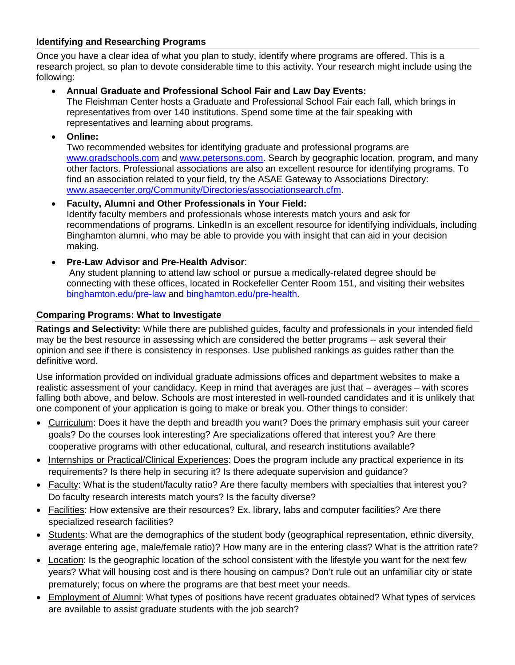# **Identifying and Researching Programs**

Once you have a clear idea of what you plan to study, identify where programs are offered. This is a research project, so plan to devote considerable time to this activity. Your research might include using the following:

# • **Annual Graduate and Professional School Fair and Law Day Events:**

The Fleishman Center hosts a Graduate and Professional School Fair each fall, which brings in representatives from over 140 institutions. Spend some time at the fair speaking with representatives and learning about programs.

• **Online:** 

Two recommended websites for identifying graduate and professional programs are [www.gradschools.com](http://www.gradschools.com/) and [www.petersons.com.](http://www.petersons.com/) Search by geographic location, program, and many other factors. Professional associations are also an excellent resource for identifying programs. To find an association related to your field, try the ASAE Gateway to Associations Directory: [www.asaecenter.org/Community/Directories/associationsearch.cfm.](http://www.asaecenter.org/Community/Directories/associationsearch.cfm)

- **Faculty, Alumni and Other Professionals in Your Field:**  Identify faculty members and professionals whose interests match yours and ask for recommendations of programs. LinkedIn is an excellent resource for identifying individuals, including Binghamton alumni, who may be able to provide you with insight that can aid in your decision making.
- **Pre-Law Advisor and Pre-Health Advisor**:

Any student planning to attend law school or pursue a medically-related degree should be connecting with these offices, located in Rockefeller Center Room 151, and visiting their websites [binghamton.edu/pre-law](http://www2.binghamton.edu/pre-law/) and [binghamton.edu/pre-health.](http://www2.binghamton.edu/pre-health/)

# **Comparing Programs: What to Investigate**

**Ratings and Selectivity:** While there are published guides, faculty and professionals in your intended field may be the best resource in assessing which are considered the better programs -- ask several their opinion and see if there is consistency in responses. Use published rankings as guides rather than the definitive word.

Use information provided on individual graduate admissions offices and department websites to make a realistic assessment of your candidacy. Keep in mind that averages are just that – averages – with scores falling both above, and below. Schools are most interested in well-rounded candidates and it is unlikely that one component of your application is going to make or break you. Other things to consider:

- Curriculum: Does it have the depth and breadth you want? Does the primary emphasis suit your career goals? Do the courses look interesting? Are specializations offered that interest you? Are there cooperative programs with other educational, cultural, and research institutions available?
- Internships or Practical/Clinical Experiences: Does the program include any practical experience in its requirements? Is there help in securing it? Is there adequate supervision and guidance?
- Faculty: What is the student/faculty ratio? Are there faculty members with specialties that interest you? Do faculty research interests match yours? Is the faculty diverse?
- Facilities: How extensive are their resources? Ex. library, labs and computer facilities? Are there specialized research facilities?
- Students: What are the demographics of the student body (geographical representation, ethnic diversity, average entering age, male/female ratio)? How many are in the entering class? What is the attrition rate?
- Location: Is the geographic location of the school consistent with the lifestyle you want for the next few years? What will housing cost and is there housing on campus? Don't rule out an unfamiliar city or state prematurely; focus on where the programs are that best meet your needs.
- Employment of Alumni: What types of positions have recent graduates obtained? What types of services are available to assist graduate students with the job search?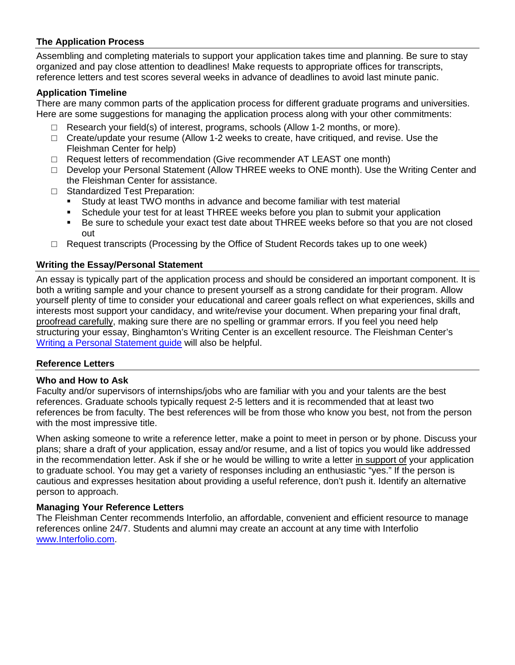# **The Application Process**

Assembling and completing materials to support your application takes time and planning. Be sure to stay organized and pay close attention to deadlines! Make requests to appropriate offices for transcripts, reference letters and test scores several weeks in advance of deadlines to avoid last minute panic.

#### **Application Timeline**

There are many common parts of the application process for different graduate programs and universities. Here are some suggestions for managing the application process along with your other commitments:

- $\Box$  Research your field(s) of interest, programs, schools (Allow 1-2 months, or more).
- $\Box$  Create/update your resume (Allow 1-2 weeks to create, have critiqued, and revise. Use the Fleishman Center for help)
- $\Box$  Request letters of recommendation (Give recommender AT LEAST one month)
- □ Develop your Personal Statement (Allow THREE weeks to ONE month). Use the Writing Center and the Fleishman Center for assistance.
- □ Standardized Test Preparation:<br>■ Study at least TWO months
	- Study at least TWO months in advance and become familiar with test material
	- Schedule your test for at least THREE weeks before you plan to submit your application
	- Be sure to schedule your exact test date about THREE weeks before so that you are not closed out
- □ Request transcripts (Processing by the Office of Student Records takes up to one week)

#### **Writing the Essay/Personal Statement**

An essay is typically part of the application process and should be considered an important component. It is both a writing sample and your chance to present yourself as a strong candidate for their program. Allow yourself plenty of time to consider your educational and career goals reflect on what experiences, skills and interests most support your candidacy, and write/revise your document. When preparing your final draft, proofread carefully, making sure there are no spelling or grammar errors. If you feel you need help structuring your essay, Binghamton's Writing Center is an excellent resource. The Fleishman Center's [Writing a Personal Statement](https://www.binghamton.edu/ccpd/documents/qrg-resources/personal-statement.pdf) guide will also be helpful.

#### **Reference Letters**

#### **Who and How to Ask**

Faculty and/or supervisors of internships/jobs who are familiar with you and your talents are the best references. Graduate schools typically request 2-5 letters and it is recommended that at least two references be from faculty. The best references will be from those who know you best, not from the person with the most impressive title.

When asking someone to write a reference letter, make a point to meet in person or by phone. Discuss your plans; share a draft of your application, essay and/or resume, and a list of topics you would like addressed in the recommendation letter. Ask if she or he would be willing to write a letter in support of your application to graduate school. You may get a variety of responses including an enthusiastic "yes." If the person is cautious and expresses hesitation about providing a useful reference, don't push it. Identify an alternative person to approach.

#### **Managing Your Reference Letters**

The Fleishman Center recommends [Interfolio,](http://www.interfolio.com/) an affordable, convenient and efficient resource to manage references online 24/7. Students and alumni may create an account at any time with Interfolio [www.Interfolio.com.](http://www.interfolio.com/)